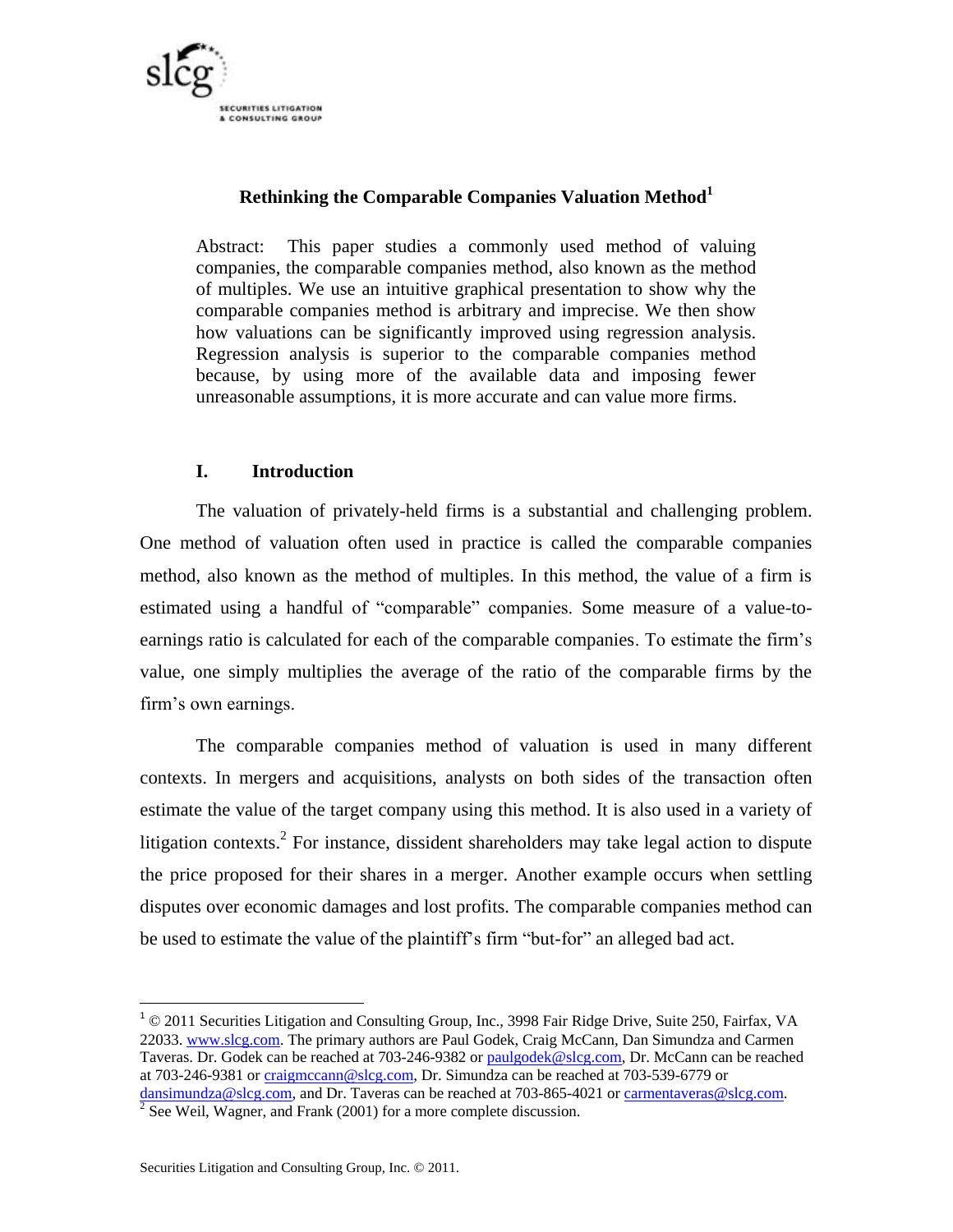

# **Rethinking the Comparable Companies Valuation Method<sup>1</sup>**

Abstract: This paper studies a commonly used method of valuing companies, the comparable companies method, also known as the method of multiples. We use an intuitive graphical presentation to show why the comparable companies method is arbitrary and imprecise. We then show how valuations can be significantly improved using regression analysis. Regression analysis is superior to the comparable companies method because, by using more of the available data and imposing fewer unreasonable assumptions, it is more accurate and can value more firms.

# **I. Introduction**

The valuation of privately-held firms is a substantial and challenging problem. One method of valuation often used in practice is called the comparable companies method, also known as the method of multiples. In this method, the value of a firm is estimated using a handful of "comparable" companies. Some measure of a value-toearnings ratio is calculated for each of the comparable companies. To estimate the firm's value, one simply multiplies the average of the ratio of the comparable firms by the firm's own earnings.

The comparable companies method of valuation is used in many different contexts. In mergers and acquisitions, analysts on both sides of the transaction often estimate the value of the target company using this method. It is also used in a variety of litigation contexts.<sup>2</sup> For instance, dissident shareholders may take legal action to dispute the price proposed for their shares in a merger. Another example occurs when settling disputes over economic damages and lost profits. The comparable companies method can be used to estimate the value of the plaintiff's firm "but-for" an alleged bad act.

 $\overline{\phantom{a}}$ 

 $1^{\circ}$  © 2011 Securities Litigation and Consulting Group, Inc., 3998 Fair Ridge Drive, Suite 250, Fairfax, VA 22033. [www.slcg.com.](http://www.slcg.com/) The primary authors are Paul Godek, Craig McCann, Dan Simundza and Carmen Taveras. Dr. Godek can be reached at 703-246-9382 or [paulgodek@slcg.com,](mailto:paulgodek@slcg.com) Dr. McCann can be reached at 703-246-9381 o[r craigmccann@slcg.com,](mailto:craigmccann@slcg.com) Dr. Simundza can be reached at 703-539-6779 or [dansimundza@slcg.com,](mailto:dansimundza@slcg.com) and Dr. Taveras can be reached at 703-865-4021 or [carmentaveras@slcg.com.](mailto:craigmccann@slcg.com)<br><sup>2</sup> See Weil, Wagner, and Frank (2001) for a more complete discussion.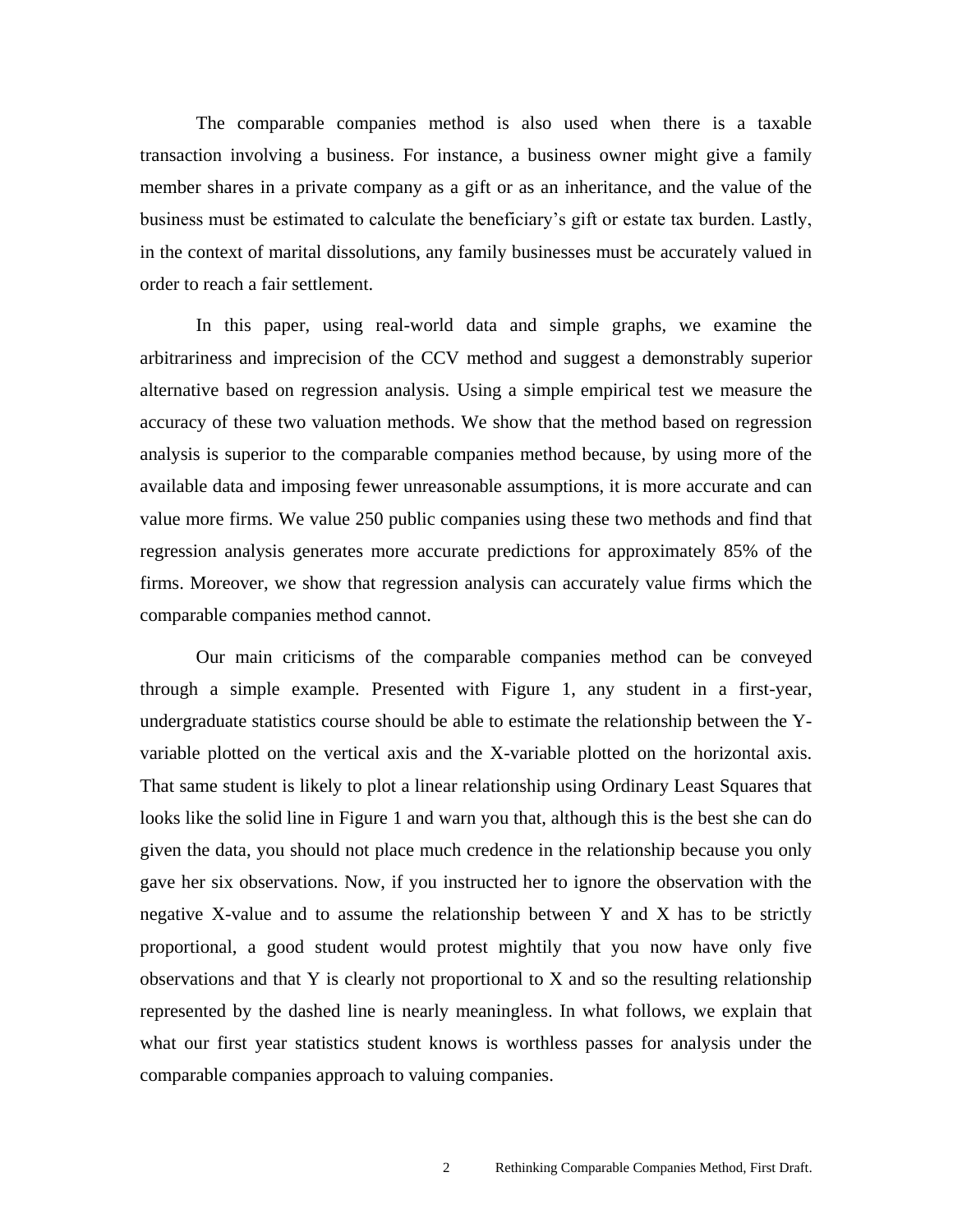The comparable companies method is also used when there is a taxable transaction involving a business. For instance, a business owner might give a family member shares in a private company as a gift or as an inheritance, and the value of the business must be estimated to calculate the beneficiary's gift or estate tax burden. Lastly, in the context of marital dissolutions, any family businesses must be accurately valued in order to reach a fair settlement.

In this paper, using real-world data and simple graphs, we examine the arbitrariness and imprecision of the CCV method and suggest a demonstrably superior alternative based on regression analysis. Using a simple empirical test we measure the accuracy of these two valuation methods. We show that the method based on regression analysis is superior to the comparable companies method because, by using more of the available data and imposing fewer unreasonable assumptions, it is more accurate and can value more firms. We value 250 public companies using these two methods and find that regression analysis generates more accurate predictions for approximately 85% of the firms. Moreover, we show that regression analysis can accurately value firms which the comparable companies method cannot.

Our main criticisms of the comparable companies method can be conveyed through a simple example. Presented with Figure 1, any student in a first-year, undergraduate statistics course should be able to estimate the relationship between the Yvariable plotted on the vertical axis and the X-variable plotted on the horizontal axis. That same student is likely to plot a linear relationship using Ordinary Least Squares that looks like the solid line in Figure 1 and warn you that, although this is the best she can do given the data, you should not place much credence in the relationship because you only gave her six observations. Now, if you instructed her to ignore the observation with the negative X-value and to assume the relationship between Y and X has to be strictly proportional, a good student would protest mightily that you now have only five observations and that Y is clearly not proportional to X and so the resulting relationship represented by the dashed line is nearly meaningless. In what follows, we explain that what our first year statistics student knows is worthless passes for analysis under the comparable companies approach to valuing companies.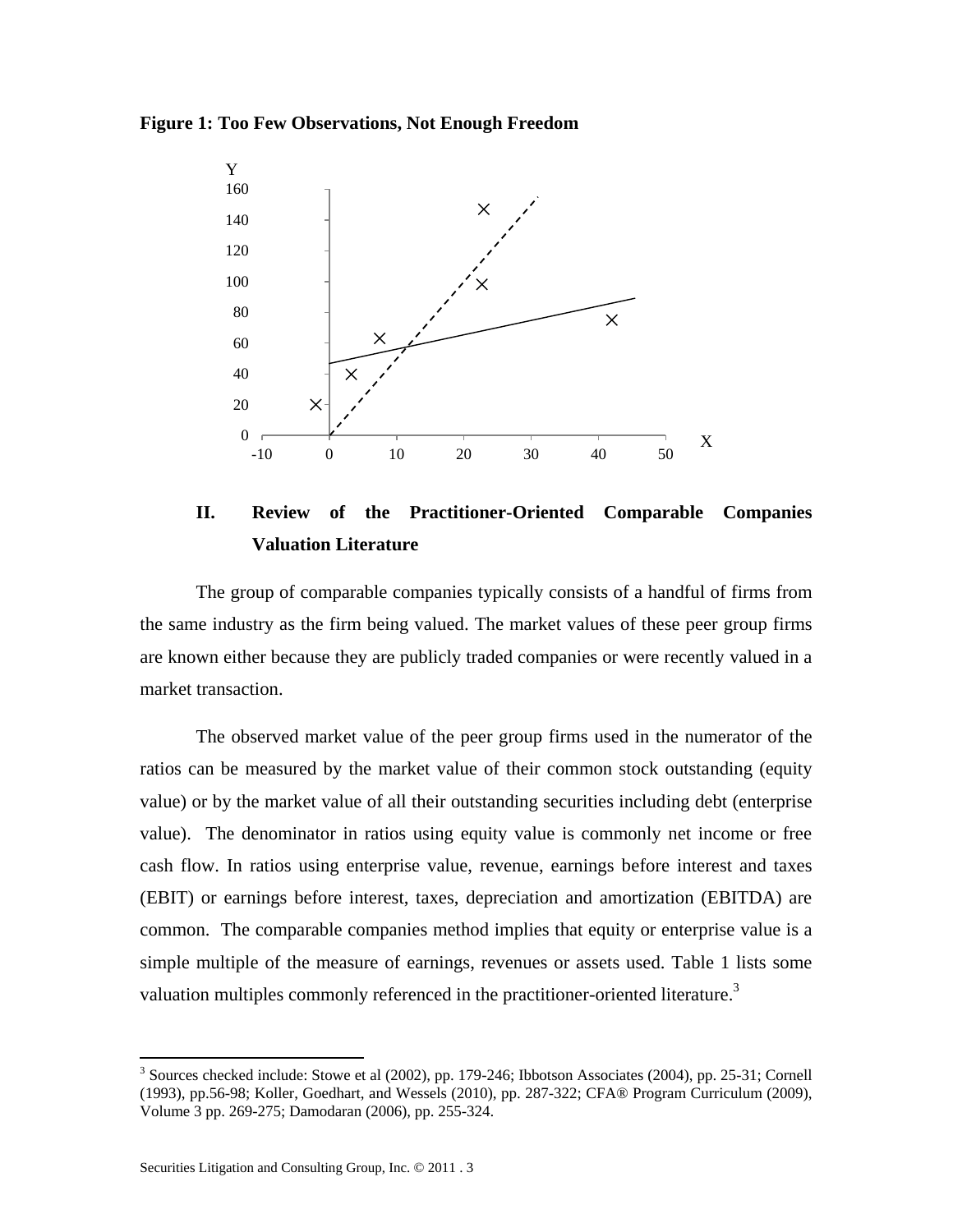**Figure 1: Too Few Observations, Not Enough Freedom**



**II. Review of the Practitioner-Oriented Comparable Companies Valuation Literature**

The group of comparable companies typically consists of a handful of firms from the same industry as the firm being valued. The market values of these peer group firms are known either because they are publicly traded companies or were recently valued in a market transaction.

The observed market value of the peer group firms used in the numerator of the ratios can be measured by the market value of their common stock outstanding (equity value) or by the market value of all their outstanding securities including debt (enterprise value). The denominator in ratios using equity value is commonly net income or free cash flow. In ratios using enterprise value, revenue, earnings before interest and taxes (EBIT) or earnings before interest, taxes, depreciation and amortization (EBITDA) are common. The comparable companies method implies that equity or enterprise value is a simple multiple of the measure of earnings, revenues or assets used. Table 1 lists some valuation multiples commonly referenced in the practitioner-oriented literature.<sup>3</sup>

<sup>&</sup>lt;sup>3</sup> Sources checked include: Stowe et al (2002), pp. 179-246; Ibbotson Associates (2004), pp. 25-31; Cornell (1993), pp.56-98; Koller, Goedhart, and Wessels (2010), pp. 287-322; CFA® Program Curriculum (2009), Volume 3 pp. 269-275; Damodaran (2006), pp. 255-324.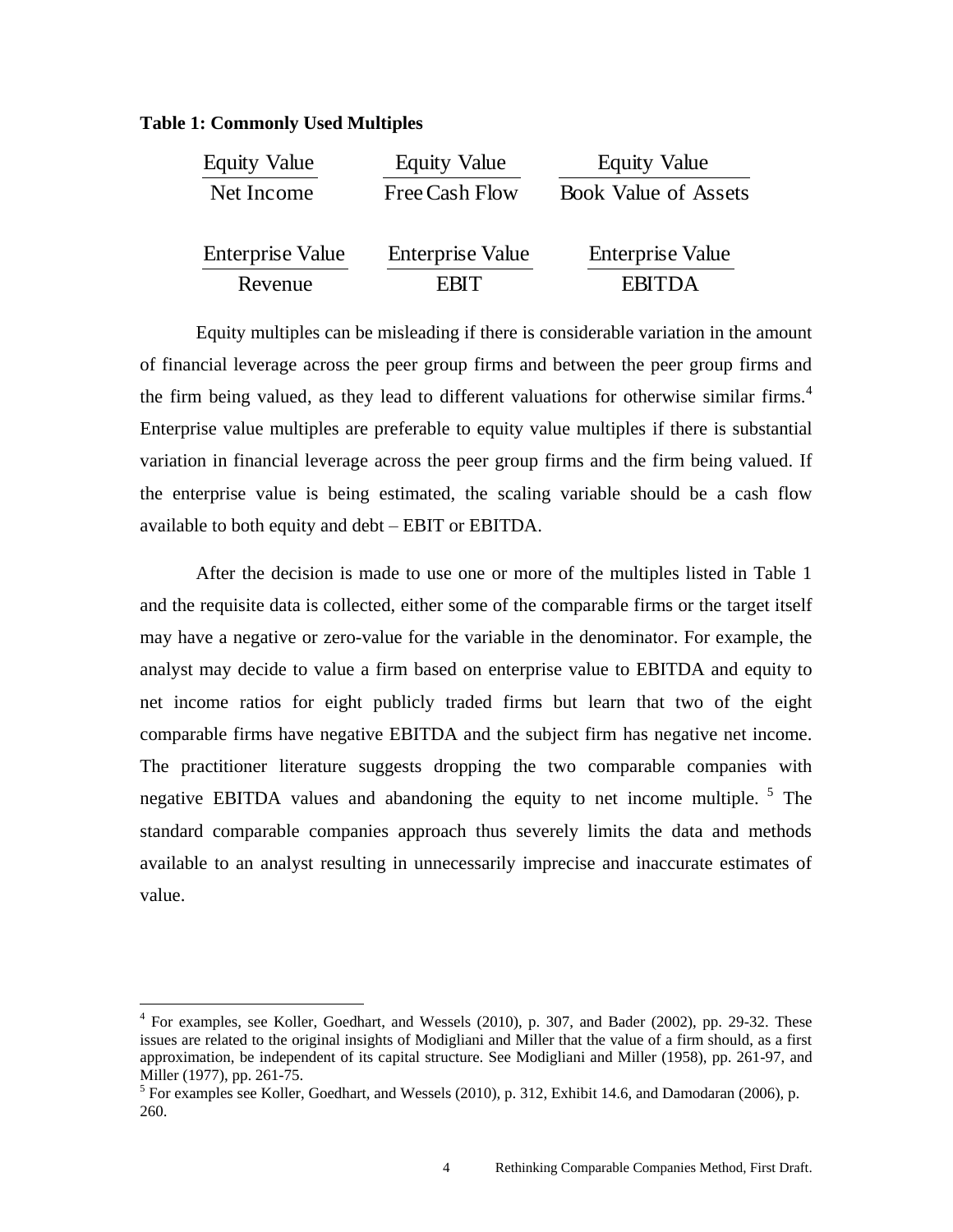#### **Table 1: Commonly Used Multiples**

| <b>Equity Value</b>     | <b>Equity Value</b>     | <b>Equity Value</b>         |
|-------------------------|-------------------------|-----------------------------|
| Net Income              | Free Cash Flow          | <b>Book Value of Assets</b> |
| <b>Enterprise Value</b> | <b>Enterprise Value</b> | <b>Enterprise Value</b>     |
| Revenue                 | <b>FRIT</b>             | <b>EBITDA</b>               |

Equity multiples can be misleading if there is considerable variation in the amount of financial leverage across the peer group firms and between the peer group firms and the firm being valued, as they lead to different valuations for otherwise similar firms.<sup>4</sup> Enterprise value multiples are preferable to equity value multiples if there is substantial variation in financial leverage across the peer group firms and the firm being valued. If the enterprise value is being estimated, the scaling variable should be a cash flow available to both equity and debt – EBIT or EBITDA.

After the decision is made to use one or more of the multiples listed in Table 1 and the requisite data is collected, either some of the comparable firms or the target itself may have a negative or zero-value for the variable in the denominator. For example, the analyst may decide to value a firm based on enterprise value to EBITDA and equity to net income ratios for eight publicly traded firms but learn that two of the eight comparable firms have negative EBITDA and the subject firm has negative net income. The practitioner literature suggests dropping the two comparable companies with negative EBITDA values and abandoning the equity to net income multiple.  $5$  The standard comparable companies approach thus severely limits the data and methods available to an analyst resulting in unnecessarily imprecise and inaccurate estimates of value.

 4 For examples, see Koller, Goedhart, and Wessels (2010), p. 307, and Bader (2002), pp. 29-32. These issues are related to the original insights of Modigliani and Miller that the value of a firm should, as a first approximation, be independent of its capital structure. See Modigliani and Miller (1958), pp. 261-97, and Miller (1977), pp. 261-75.

<sup>&</sup>lt;sup>5</sup> For examples see Koller, Goedhart, and Wessels (2010), p. 312, Exhibit 14.6, and Damodaran (2006), p. 260.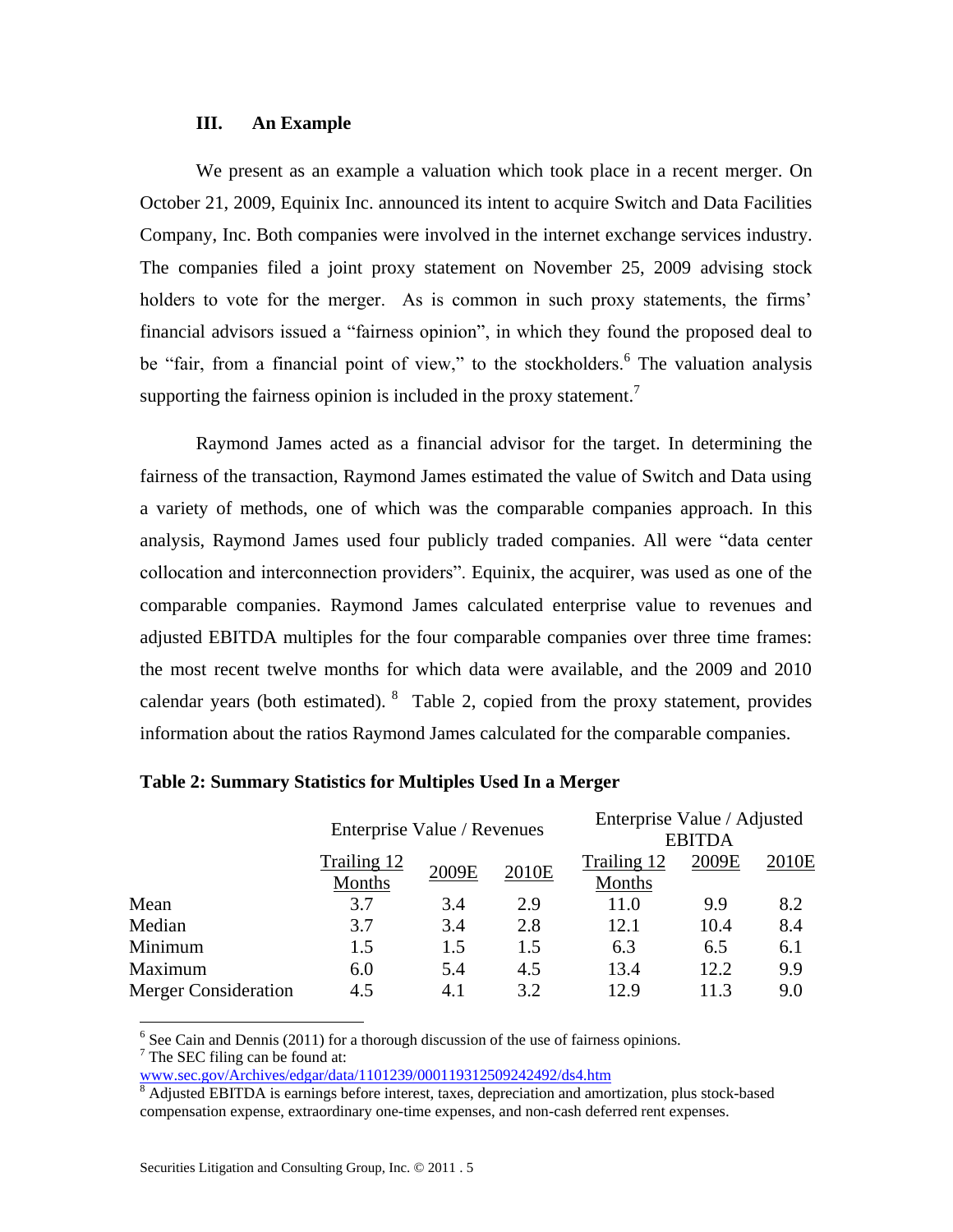# **III. An Example**

We present as an example a valuation which took place in a recent merger. On October 21, 2009, Equinix Inc. announced its intent to acquire Switch and Data Facilities Company, Inc. Both companies were involved in the internet exchange services industry. The companies filed a joint proxy statement on November 25, 2009 advising stock holders to vote for the merger. As is common in such proxy statements, the firms' financial advisors issued a "fairness opinion", in which they found the proposed deal to be "fair, from a financial point of view," to the stockholders.<sup>6</sup> The valuation analysis supporting the fairness opinion is included in the proxy statement.<sup>7</sup>

Raymond James acted as a financial advisor for the target. In determining the fairness of the transaction, Raymond James estimated the value of Switch and Data using a variety of methods, one of which was the comparable companies approach. In this analysis, Raymond James used four publicly traded companies. All were "data center collocation and interconnection providers". Equinix, the acquirer, was used as one of the comparable companies. Raymond James calculated enterprise value to revenues and adjusted EBITDA multiples for the four comparable companies over three time frames: the most recent twelve months for which data were available, and the 2009 and 2010 calendar years (both estimated).  $8$  Table 2, copied from the proxy statement, provides information about the ratios Raymond James calculated for the comparable companies.

|                             |                             |       |       | Enterprise Value / Adjusted |       |                   |
|-----------------------------|-----------------------------|-------|-------|-----------------------------|-------|-------------------|
|                             | Enterprise Value / Revenues |       |       | <b>EBITDA</b>               |       |                   |
|                             | Trailing 12                 | 2009E |       | Trailing 12                 | 2009E | 2010 <sub>E</sub> |
|                             | Months                      |       | 2010E | Months                      |       |                   |
| Mean                        | 3.7                         | 3.4   | 2.9   | 11.0                        | 9.9   | 8.2               |
| Median                      | 3.7                         | 3.4   | 2.8   | 12.1                        | 10.4  | 8.4               |
| Minimum                     | 1.5                         | 1.5   | 1.5   | 6.3                         | 6.5   | 6.1               |
| Maximum                     | 6.0                         | 5.4   | 4.5   | 13.4                        | 12.2  | 9.9               |
| <b>Merger Consideration</b> | 4.5                         | 4.1   | 3.2   | 12.9                        | 11.3  | 9.0               |

#### **Table 2: Summary Statistics for Multiples Used In a Merger**

 $6$  See Cain and Dennis (2011) for a thorough discussion of the use of fairness opinions.

 $7$  The SEC filing can be found at:

 $\overline{a}$ 

[www.sec.gov/Archives/edgar/data/1101239/000119312509242492/ds4.htm](http://www.sec.gov/Archives/edgar/data/1101239/000119312509242492/ds4.htm)

<sup>&</sup>lt;sup>8</sup> Adjusted EBITDA is earnings before interest, taxes, depreciation and amortization, plus stock-based compensation expense, extraordinary one-time expenses, and non-cash deferred rent expenses.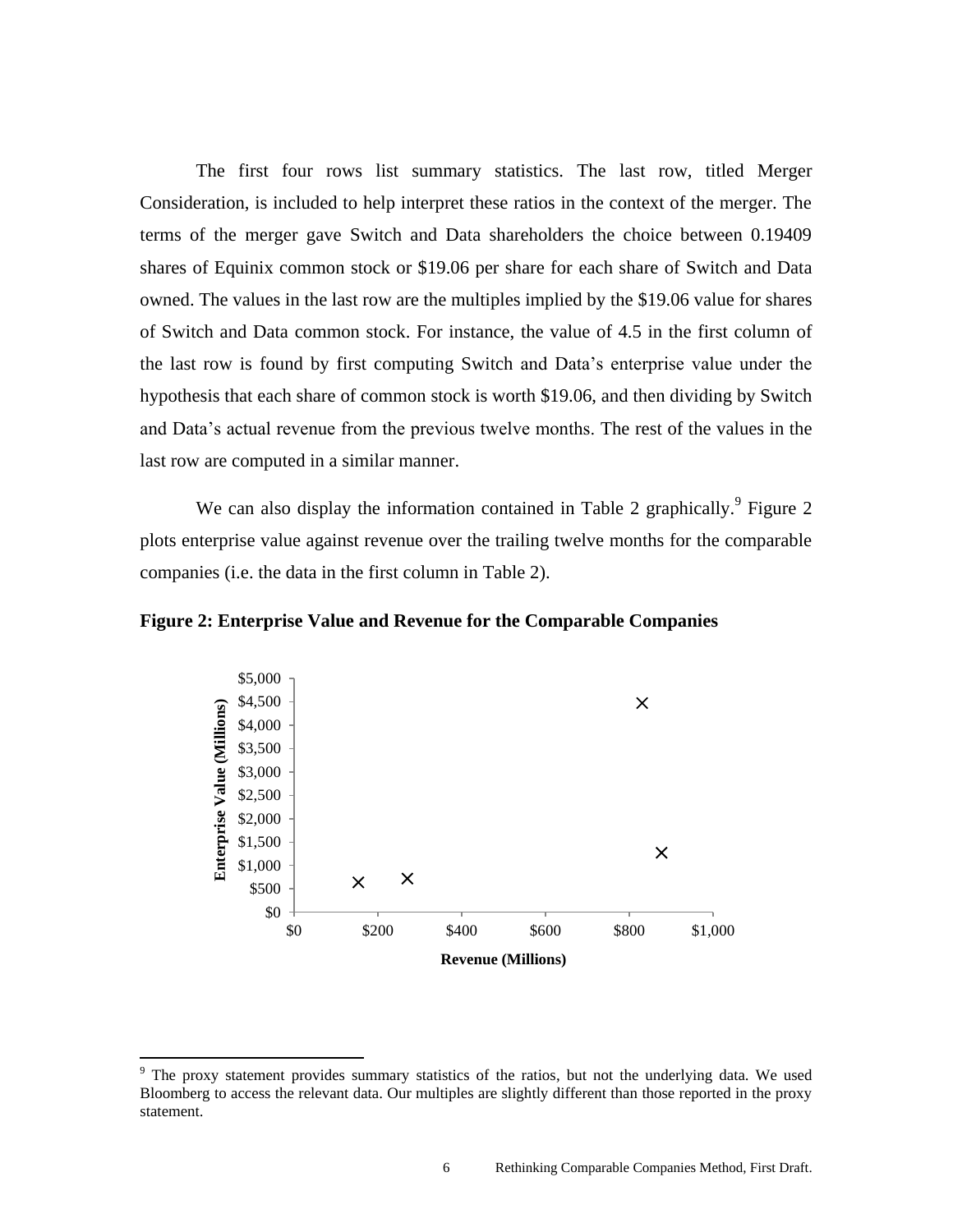The first four rows list summary statistics. The last row, titled Merger Consideration, is included to help interpret these ratios in the context of the merger. The terms of the merger gave Switch and Data shareholders the choice between 0.19409 shares of Equinix common stock or \$19.06 per share for each share of Switch and Data owned. The values in the last row are the multiples implied by the \$19.06 value for shares of Switch and Data common stock. For instance, the value of 4.5 in the first column of the last row is found by first computing Switch and Data's enterprise value under the hypothesis that each share of common stock is worth \$19.06, and then dividing by Switch and Data's actual revenue from the previous twelve months. The rest of the values in the last row are computed in a similar manner.

We can also display the information contained in Table 2 graphically.<sup>9</sup> Figure 2 plots enterprise value against revenue over the trailing twelve months for the comparable companies (i.e. the data in the first column in Table 2).

# **Figure 2: Enterprise Value and Revenue for the Comparable Companies**



 $\overline{\phantom{a}}$ 

<sup>&</sup>lt;sup>9</sup> The proxy statement provides summary statistics of the ratios, but not the underlying data. We used Bloomberg to access the relevant data. Our multiples are slightly different than those reported in the proxy statement.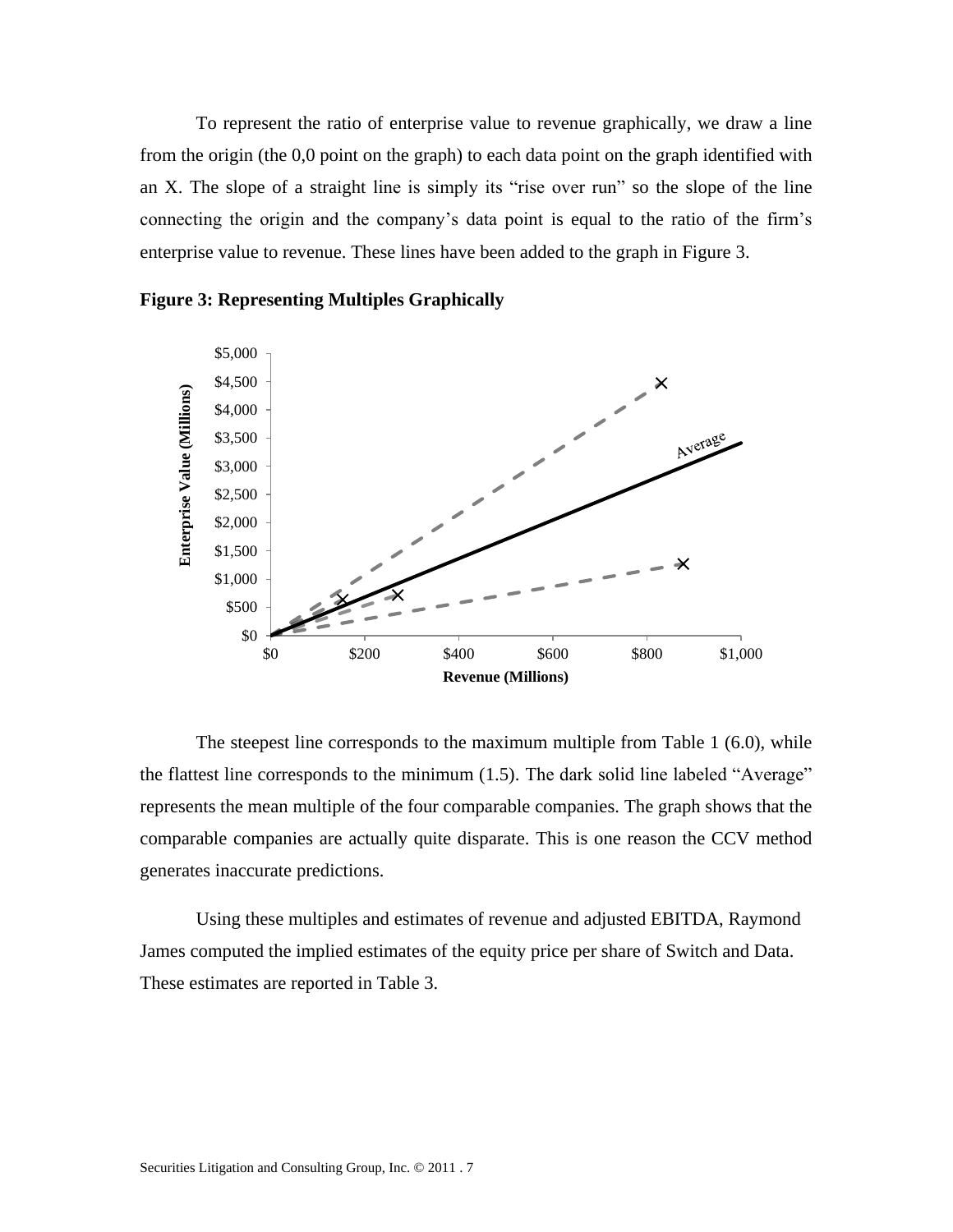To represent the ratio of enterprise value to revenue graphically, we draw a line from the origin (the 0,0 point on the graph) to each data point on the graph identified with an X. The slope of a straight line is simply its "rise over run" so the slope of the line connecting the origin and the company's data point is equal to the ratio of the firm's enterprise value to revenue. These lines have been added to the graph in Figure 3.





The steepest line corresponds to the maximum multiple from Table 1 (6.0), while the flattest line corresponds to the minimum (1.5). The dark solid line labeled "Average" represents the mean multiple of the four comparable companies. The graph shows that the comparable companies are actually quite disparate. This is one reason the CCV method generates inaccurate predictions.

Using these multiples and estimates of revenue and adjusted EBITDA, Raymond James computed the implied estimates of the equity price per share of Switch and Data. These estimates are reported in Table 3.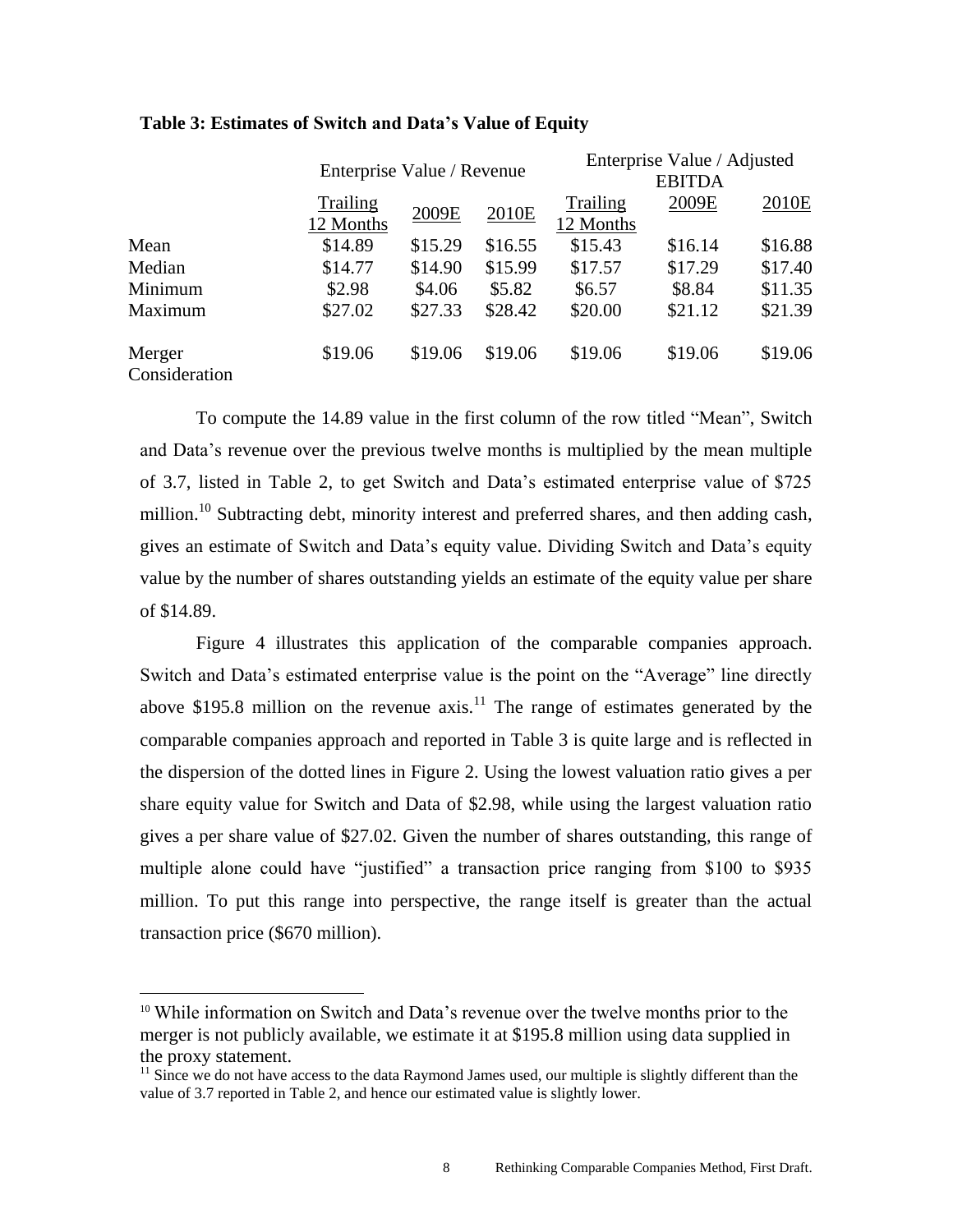|                         |           | Enterprise Value / Revenue |         |           | Enterprise Value / Adjusted<br><b>EBITDA</b> |         |  |
|-------------------------|-----------|----------------------------|---------|-----------|----------------------------------------------|---------|--|
|                         |           |                            |         |           |                                              |         |  |
|                         | Trailing  |                            | 2010E   | Trailing  | 2009E                                        | 2010E   |  |
|                         | 12 Months | 2009E                      |         | 12 Months |                                              |         |  |
| Mean                    | \$14.89   | \$15.29                    | \$16.55 | \$15.43   | \$16.14                                      | \$16.88 |  |
| Median                  | \$14.77   | \$14.90                    | \$15.99 | \$17.57   | \$17.29                                      | \$17.40 |  |
| Minimum                 | \$2.98    | \$4.06                     | \$5.82  | \$6.57    | \$8.84                                       | \$11.35 |  |
| Maximum                 | \$27.02   | \$27.33                    | \$28.42 | \$20.00   | \$21.12                                      | \$21.39 |  |
| Merger<br>Consideration | \$19.06   | \$19.06                    | \$19.06 | \$19.06   | \$19.06                                      | \$19.06 |  |

# **Table 3: Estimates of Switch and Data's Value of Equity**

To compute the 14.89 value in the first column of the row titled "Mean", Switch and Data's revenue over the previous twelve months is multiplied by the mean multiple of 3.7, listed in Table 2, to get Switch and Data's estimated enterprise value of \$725 million.<sup>10</sup> Subtracting debt, minority interest and preferred shares, and then adding cash, gives an estimate of Switch and Data's equity value. Dividing Switch and Data's equity value by the number of shares outstanding yields an estimate of the equity value per share of \$14.89.

Figure 4 illustrates this application of the comparable companies approach. Switch and Data's estimated enterprise value is the point on the "Average" line directly above \$195.8 million on the revenue  $axis$ <sup>11</sup>. The range of estimates generated by the comparable companies approach and reported in Table 3 is quite large and is reflected in the dispersion of the dotted lines in Figure 2. Using the lowest valuation ratio gives a per share equity value for Switch and Data of \$2.98, while using the largest valuation ratio gives a per share value of \$27.02. Given the number of shares outstanding, this range of multiple alone could have "justified" a transaction price ranging from \$100 to \$935 million. To put this range into perspective, the range itself is greater than the actual transaction price (\$670 million).

 $\overline{a}$ 

<sup>&</sup>lt;sup>10</sup> While information on Switch and Data's revenue over the twelve months prior to the merger is not publicly available, we estimate it at \$195.8 million using data supplied in the proxy statement.

 $11$  Since we do not have access to the data Raymond James used, our multiple is slightly different than the value of 3.7 reported in Table 2, and hence our estimated value is slightly lower.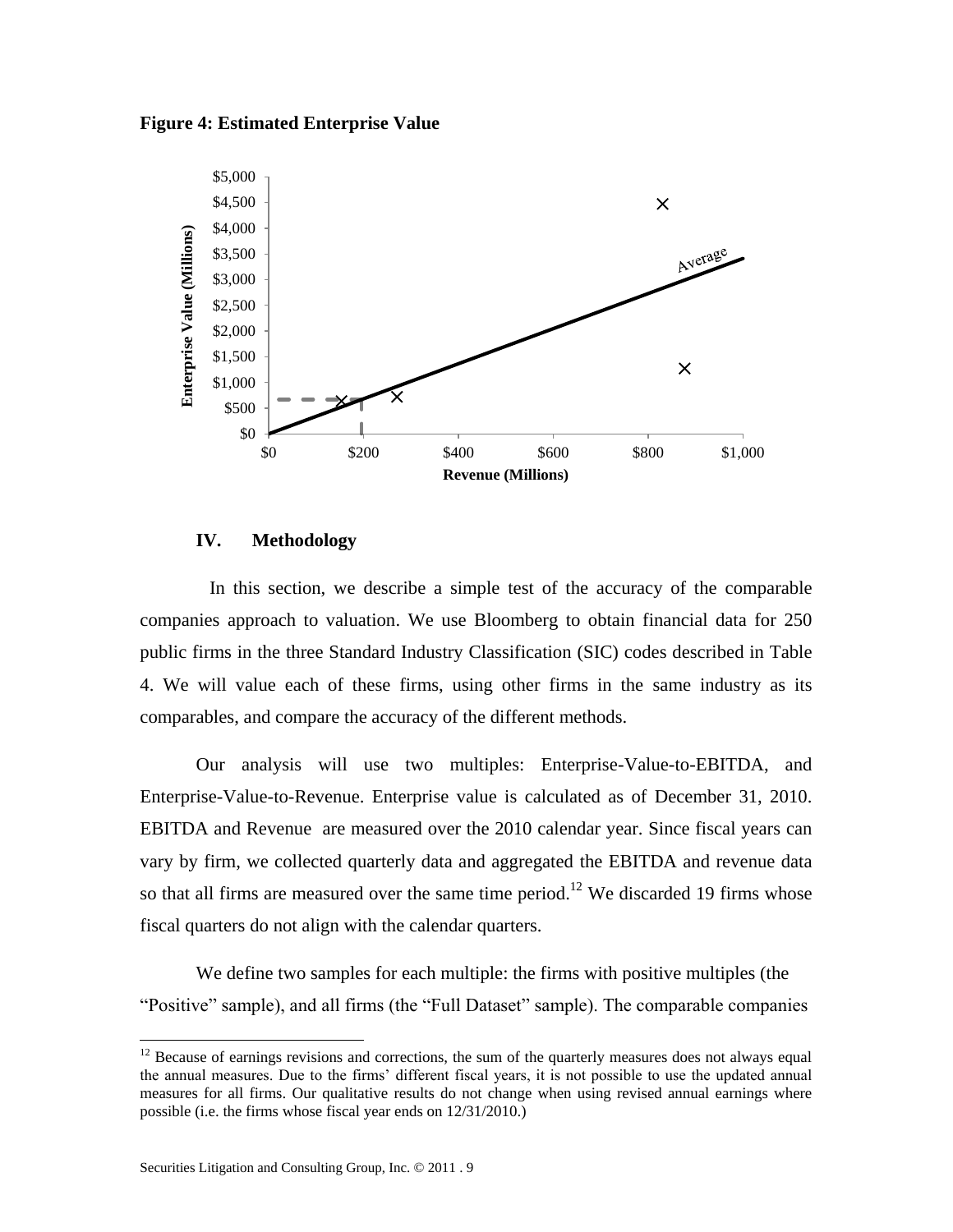**Figure 4: Estimated Enterprise Value**



# **IV. Methodology**

In this section, we describe a simple test of the accuracy of the comparable companies approach to valuation. We use Bloomberg to obtain financial data for 250 public firms in the three Standard Industry Classification (SIC) codes described in Table 4. We will value each of these firms, using other firms in the same industry as its comparables, and compare the accuracy of the different methods.

Our analysis will use two multiples: Enterprise-Value-to-EBITDA, and Enterprise-Value-to-Revenue. Enterprise value is calculated as of December 31, 2010. EBITDA and Revenue are measured over the 2010 calendar year. Since fiscal years can vary by firm, we collected quarterly data and aggregated the EBITDA and revenue data so that all firms are measured over the same time period.<sup>12</sup> We discarded 19 firms whose fiscal quarters do not align with the calendar quarters.

We define two samples for each multiple: the firms with positive multiples (the "Positive" sample), and all firms (the "Full Dataset" sample). The comparable companies

 $\overline{\phantom{a}}$ 

 $12$  Because of earnings revisions and corrections, the sum of the quarterly measures does not always equal the annual measures. Due to the firms' different fiscal years, it is not possible to use the updated annual measures for all firms. Our qualitative results do not change when using revised annual earnings where possible (i.e. the firms whose fiscal year ends on 12/31/2010.)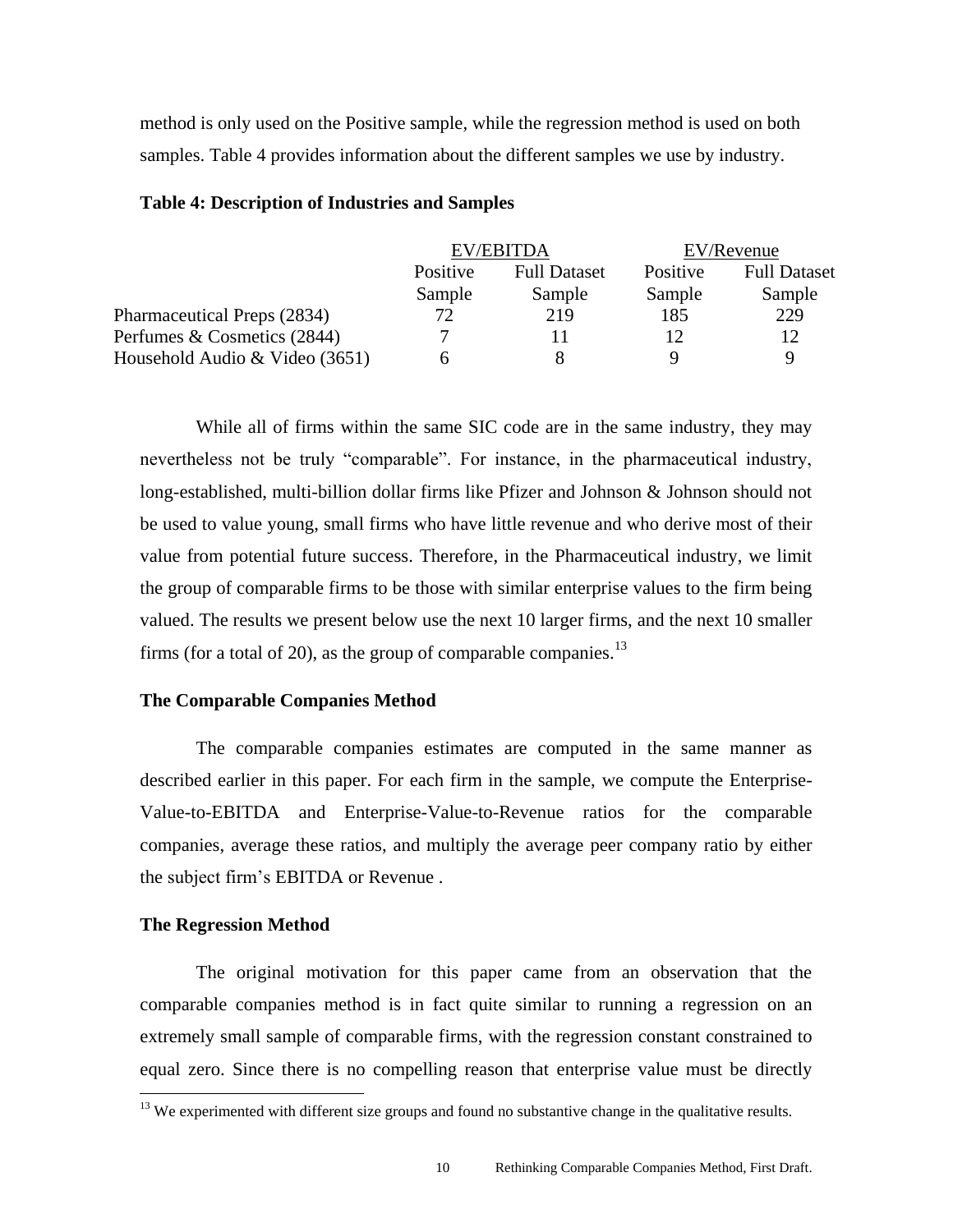method is only used on the Positive sample, while the regression method is used on both samples. Table 4 provides information about the different samples we use by industry.

|          |                     | EV/Revenue       |                     |  |
|----------|---------------------|------------------|---------------------|--|
| Positive | <b>Full Dataset</b> | Positive         | <b>Full Dataset</b> |  |
| Sample   | Sample              | Sample           | Sample              |  |
| 72       | 219                 | 185              | 229                 |  |
|          |                     | 12               | 12                  |  |
| h        | 8                   | $\mathbf Q$      | 9                   |  |
|          |                     | <b>EV/EBITDA</b> |                     |  |

# **Table 4: Description of Industries and Samples**

While all of firms within the same SIC code are in the same industry, they may nevertheless not be truly "comparable". For instance, in the pharmaceutical industry, long-established, multi-billion dollar firms like Pfizer and Johnson & Johnson should not be used to value young, small firms who have little revenue and who derive most of their value from potential future success. Therefore, in the Pharmaceutical industry, we limit the group of comparable firms to be those with similar enterprise values to the firm being valued. The results we present below use the next 10 larger firms, and the next 10 smaller firms (for a total of 20), as the group of comparable companies.<sup>13</sup>

#### **The Comparable Companies Method**

The comparable companies estimates are computed in the same manner as described earlier in this paper. For each firm in the sample, we compute the Enterprise-Value-to-EBITDA and Enterprise-Value-to-Revenue ratios for the comparable companies, average these ratios, and multiply the average peer company ratio by either the subject firm's EBITDA or Revenue .

# **The Regression Method**

 $\overline{\phantom{a}}$ 

The original motivation for this paper came from an observation that the comparable companies method is in fact quite similar to running a regression on an extremely small sample of comparable firms, with the regression constant constrained to equal zero. Since there is no compelling reason that enterprise value must be directly

<sup>&</sup>lt;sup>13</sup> We experimented with different size groups and found no substantive change in the qualitative results.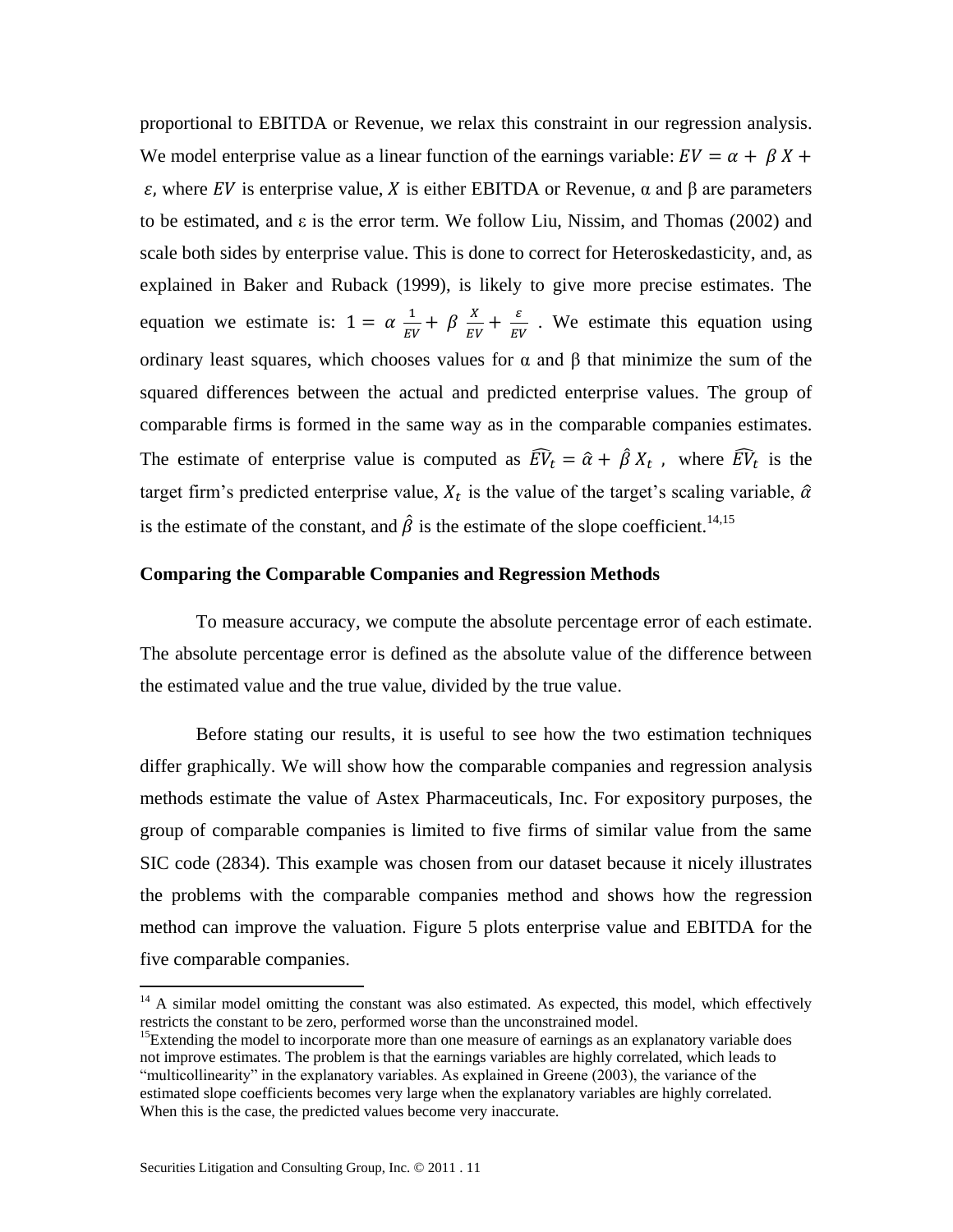proportional to EBITDA or Revenue, we relax this constraint in our regression analysis. We model enterprise value as a linear function of the earnings variable:  $EV = \alpha + \beta X +$  $ε$ , where EV is enterprise value, X is either EBITDA or Revenue, α and β are parameters to be estimated, and  $\varepsilon$  is the error term. We follow Liu, Nissim, and Thomas (2002) and scale both sides by enterprise value. This is done to correct for Heteroskedasticity, and, as explained in Baker and Ruback (1999), is likely to give more precise estimates. The equation we estimate is:  $1 = \alpha \frac{1}{\pi}$  $rac{1}{EV} + \beta \frac{X}{EV}$  $\frac{X}{EV} + \frac{\varepsilon}{EV}$  $\frac{\epsilon}{EV}$ . We estimate this equation using ordinary least squares, which chooses values for  $\alpha$  and  $\beta$  that minimize the sum of the squared differences between the actual and predicted enterprise values. The group of comparable firms is formed in the same way as in the comparable companies estimates. The estimate of enterprise value is computed as  $\widehat{EV}_t = \widehat{\alpha} + \widehat{\beta} X_t$ , where  $\widehat{EV}_t$  is the target firm's predicted enterprise value,  $X_t$  is the value of the target's scaling variable,  $\hat{\alpha}$ is the estimate of the constant, and  $\hat{\beta}$  is the estimate of the slope coefficient.<sup>14,15</sup>

# **Comparing the Comparable Companies and Regression Methods**

To measure accuracy, we compute the absolute percentage error of each estimate. The absolute percentage error is defined as the absolute value of the difference between the estimated value and the true value, divided by the true value.

Before stating our results, it is useful to see how the two estimation techniques differ graphically. We will show how the comparable companies and regression analysis methods estimate the value of Astex Pharmaceuticals, Inc. For expository purposes, the group of comparable companies is limited to five firms of similar value from the same SIC code (2834). This example was chosen from our dataset because it nicely illustrates the problems with the comparable companies method and shows how the regression method can improve the valuation. Figure 5 plots enterprise value and EBITDA for the five comparable companies.

 $\overline{\phantom{a}}$ 

 $14$  A similar model omitting the constant was also estimated. As expected, this model, which effectively restricts the constant to be zero, performed worse than the unconstrained model.

<sup>&</sup>lt;sup>15</sup>Extending the model to incorporate more than one measure of earnings as an explanatory variable does not improve estimates. The problem is that the earnings variables are highly correlated, which leads to "multicollinearity" in the explanatory variables. As explained in Greene (2003), the variance of the estimated slope coefficients becomes very large when the explanatory variables are highly correlated. When this is the case, the predicted values become very inaccurate.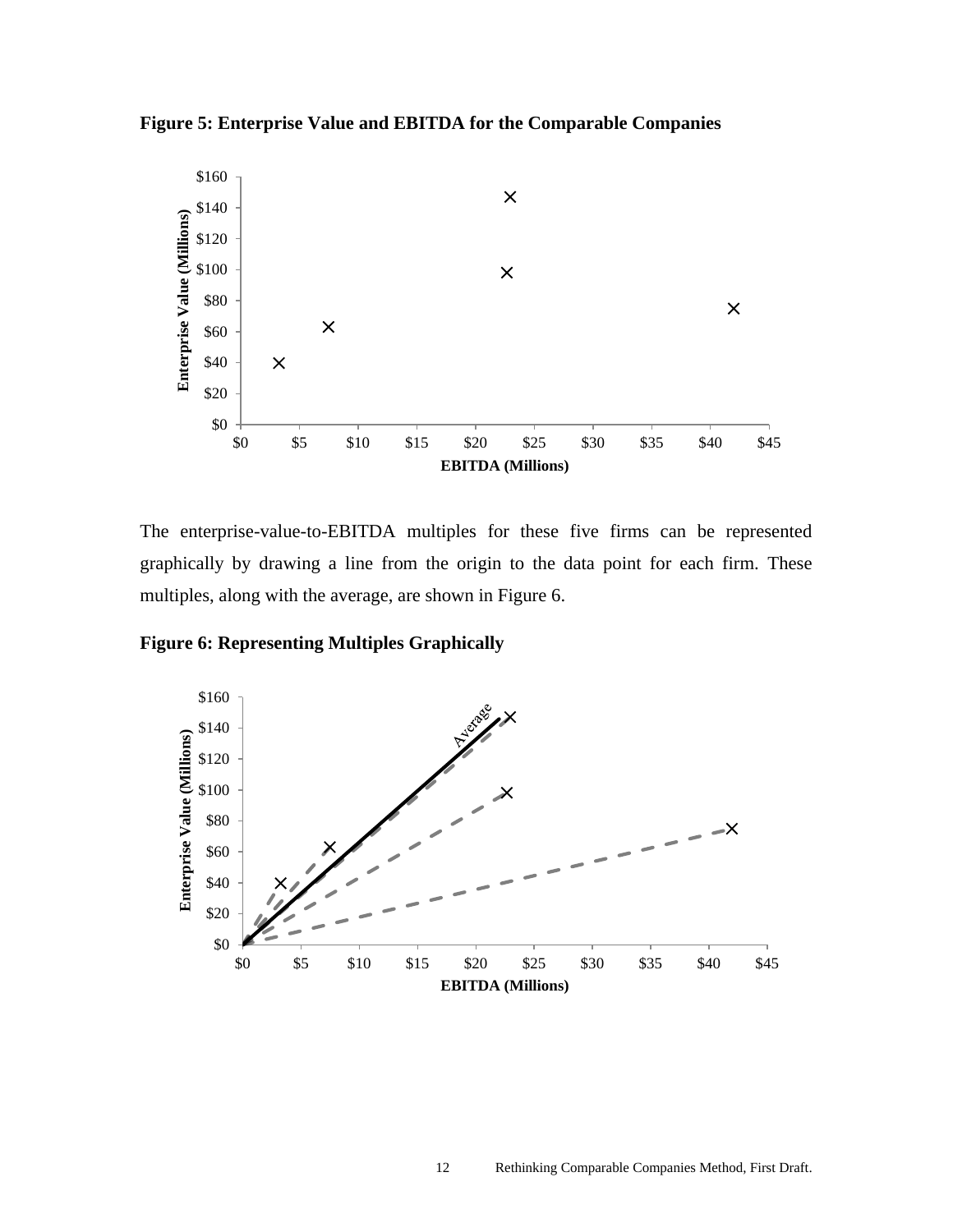**Figure 5: Enterprise Value and EBITDA for the Comparable Companies**



The enterprise-value-to-EBITDA multiples for these five firms can be represented graphically by drawing a line from the origin to the data point for each firm. These multiples, along with the average, are shown in Figure 6.

**Figure 6: Representing Multiples Graphically**

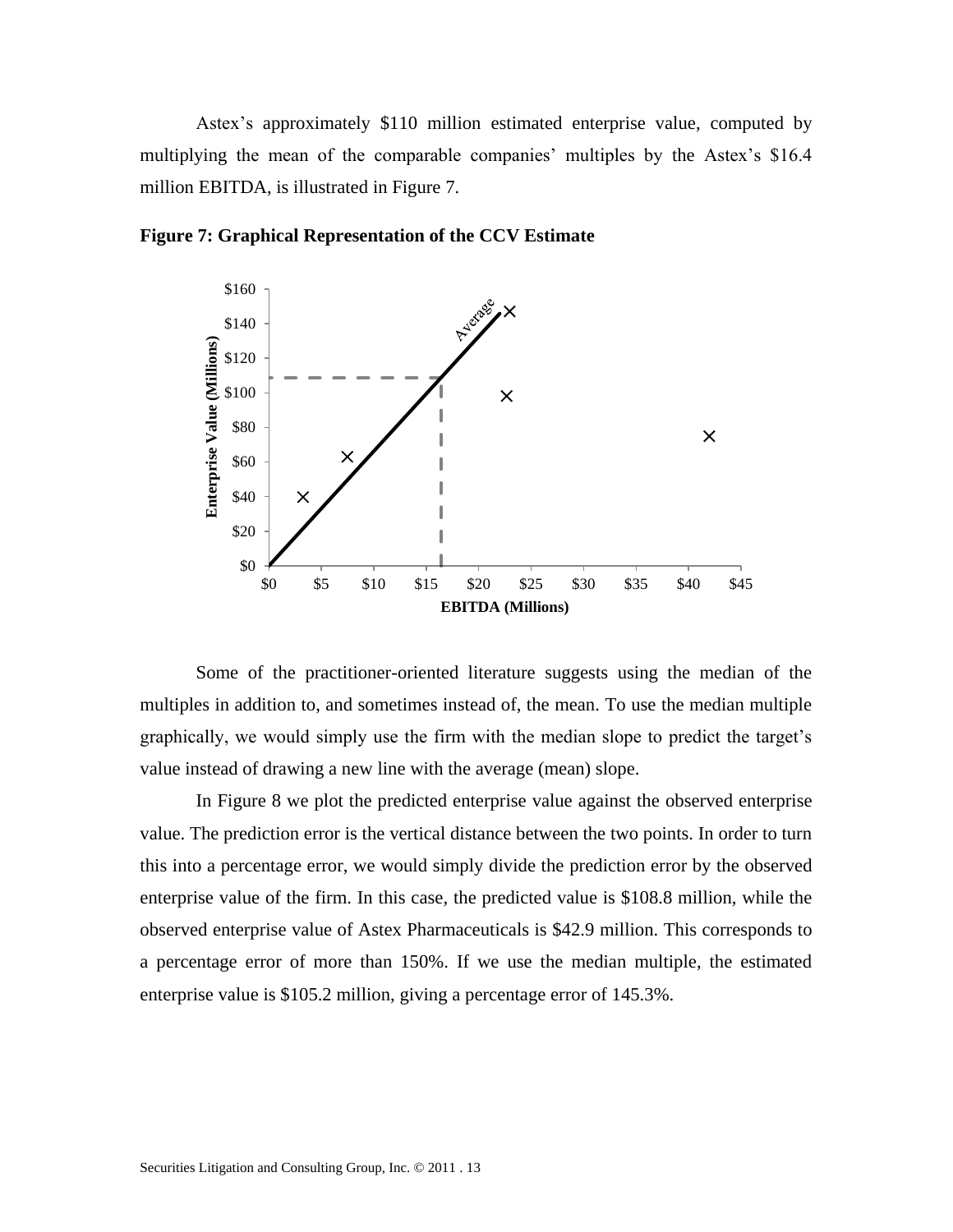Astex's approximately \$110 million estimated enterprise value, computed by multiplying the mean of the comparable companies' multiples by the Astex's \$16.4 million EBITDA, is illustrated in Figure 7.



**Figure 7: Graphical Representation of the CCV Estimate**

Some of the practitioner-oriented literature suggests using the median of the multiples in addition to, and sometimes instead of, the mean. To use the median multiple graphically, we would simply use the firm with the median slope to predict the target's value instead of drawing a new line with the average (mean) slope.

In Figure 8 we plot the predicted enterprise value against the observed enterprise value. The prediction error is the vertical distance between the two points. In order to turn this into a percentage error, we would simply divide the prediction error by the observed enterprise value of the firm. In this case, the predicted value is \$108.8 million, while the observed enterprise value of Astex Pharmaceuticals is \$42.9 million. This corresponds to a percentage error of more than 150%. If we use the median multiple, the estimated enterprise value is \$105.2 million, giving a percentage error of 145.3%.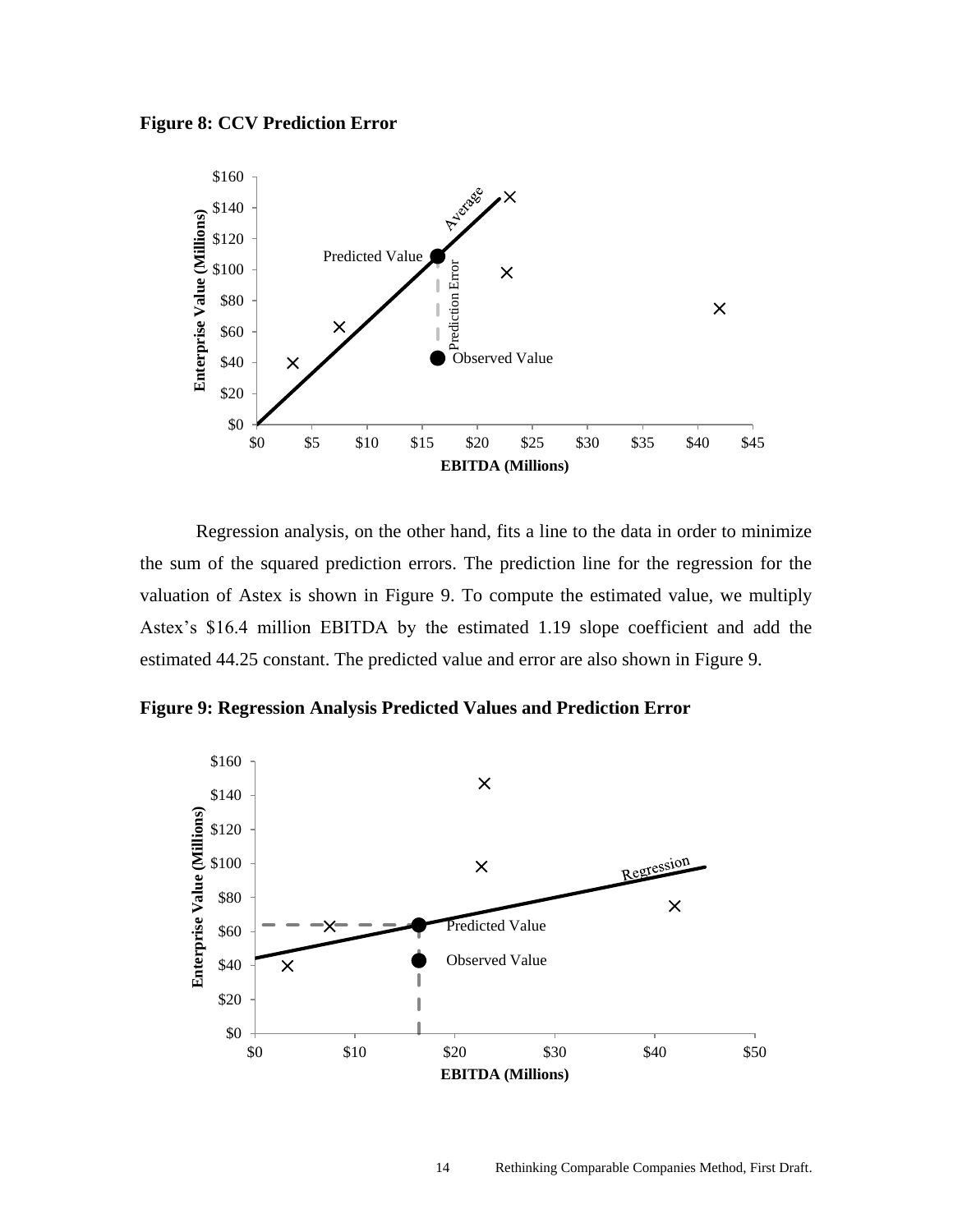



Regression analysis, on the other hand, fits a line to the data in order to minimize the sum of the squared prediction errors. The prediction line for the regression for the valuation of Astex is shown in Figure 9. To compute the estimated value, we multiply Astex's \$16.4 million EBITDA by the estimated 1.19 slope coefficient and add the estimated 44.25 constant. The predicted value and error are also shown in Figure 9.

**Figure 9: Regression Analysis Predicted Values and Prediction Error**

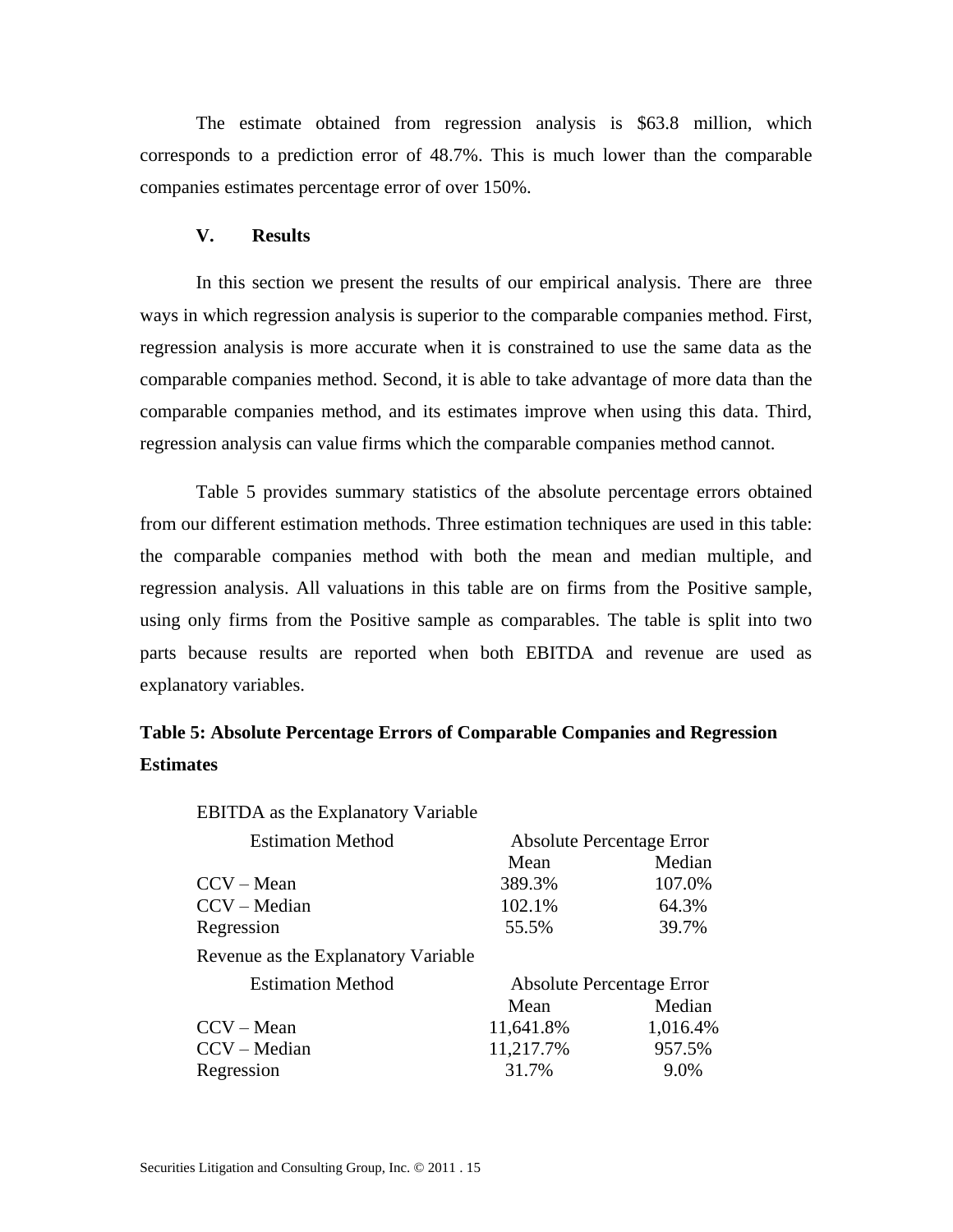The estimate obtained from regression analysis is \$63.8 million, which corresponds to a prediction error of 48.7%. This is much lower than the comparable companies estimates percentage error of over 150%.

#### **V. Results**

In this section we present the results of our empirical analysis. There are three ways in which regression analysis is superior to the comparable companies method. First, regression analysis is more accurate when it is constrained to use the same data as the comparable companies method. Second, it is able to take advantage of more data than the comparable companies method, and its estimates improve when using this data. Third, regression analysis can value firms which the comparable companies method cannot.

Table 5 provides summary statistics of the absolute percentage errors obtained from our different estimation methods. Three estimation techniques are used in this table: the comparable companies method with both the mean and median multiple, and regression analysis. All valuations in this table are on firms from the Positive sample, using only firms from the Positive sample as comparables. The table is split into two parts because results are reported when both EBITDA and revenue are used as explanatory variables.

# **Table 5: Absolute Percentage Errors of Comparable Companies and Regression Estimates**

| <b>EBITDA</b> as the Explanatory Variable |                                  |          |  |
|-------------------------------------------|----------------------------------|----------|--|
| <b>Estimation Method</b>                  | <b>Absolute Percentage Error</b> |          |  |
|                                           | Mean                             | Median   |  |
| $CCV - Mean$                              | 389.3%                           | 107.0%   |  |
| CCV – Median                              | 102.1%                           | 64.3%    |  |
| Regression                                | 55.5%                            | 39.7%    |  |
| Revenue as the Explanatory Variable       |                                  |          |  |
| <b>Estimation Method</b>                  | <b>Absolute Percentage Error</b> |          |  |
|                                           | Mean                             | Median   |  |
| $CCV - Mean$                              | 11,641.8%                        | 1,016.4% |  |
| CCV – Median                              | 11,217.7%                        | 957.5%   |  |
| Regression                                | 31.7%                            | 9.0%     |  |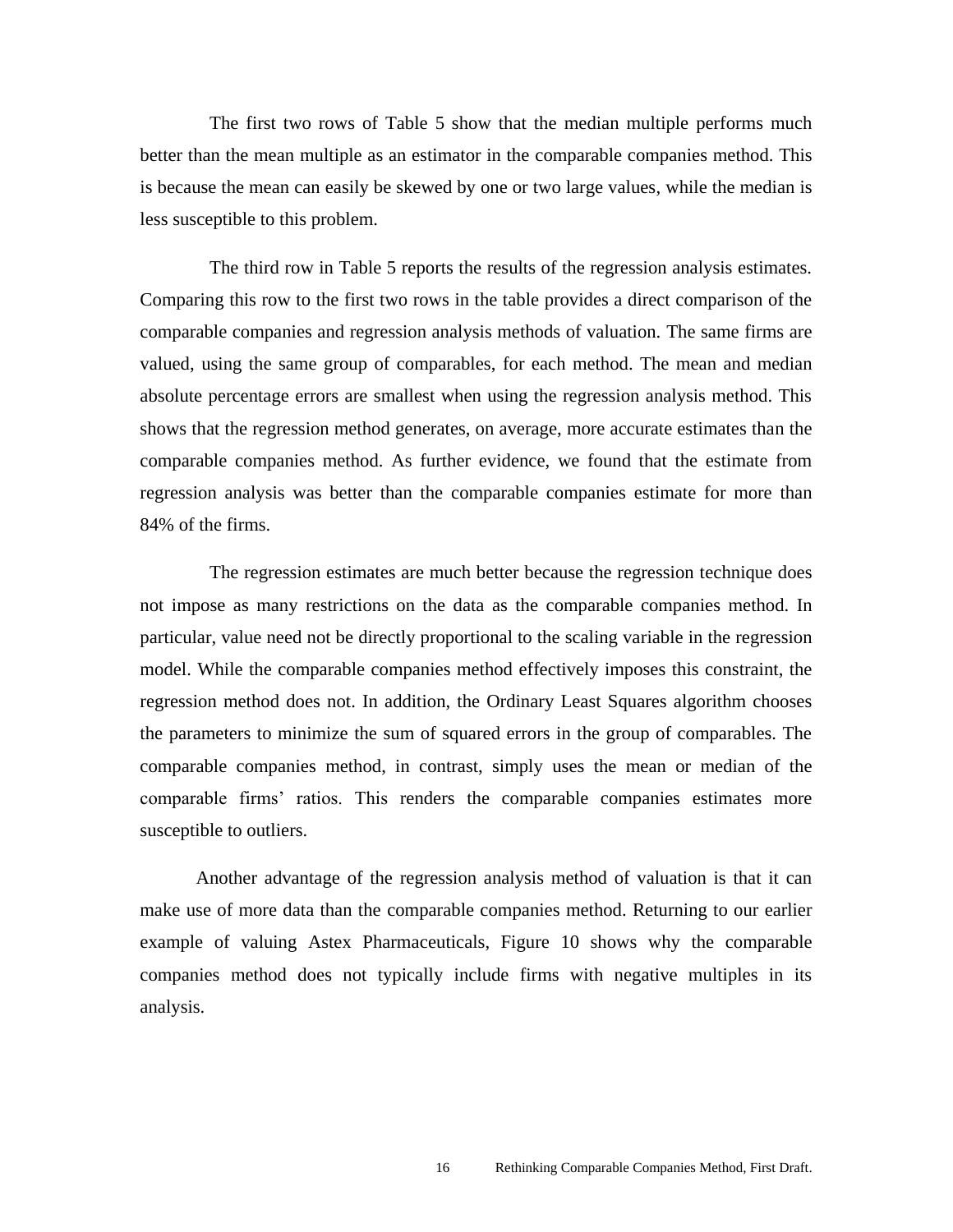The first two rows of Table 5 show that the median multiple performs much better than the mean multiple as an estimator in the comparable companies method. This is because the mean can easily be skewed by one or two large values, while the median is less susceptible to this problem.

The third row in Table 5 reports the results of the regression analysis estimates. Comparing this row to the first two rows in the table provides a direct comparison of the comparable companies and regression analysis methods of valuation. The same firms are valued, using the same group of comparables, for each method. The mean and median absolute percentage errors are smallest when using the regression analysis method. This shows that the regression method generates, on average, more accurate estimates than the comparable companies method. As further evidence, we found that the estimate from regression analysis was better than the comparable companies estimate for more than 84% of the firms.

The regression estimates are much better because the regression technique does not impose as many restrictions on the data as the comparable companies method. In particular, value need not be directly proportional to the scaling variable in the regression model. While the comparable companies method effectively imposes this constraint, the regression method does not. In addition, the Ordinary Least Squares algorithm chooses the parameters to minimize the sum of squared errors in the group of comparables. The comparable companies method, in contrast, simply uses the mean or median of the comparable firms' ratios. This renders the comparable companies estimates more susceptible to outliers.

Another advantage of the regression analysis method of valuation is that it can make use of more data than the comparable companies method. Returning to our earlier example of valuing Astex Pharmaceuticals, Figure 10 shows why the comparable companies method does not typically include firms with negative multiples in its analysis.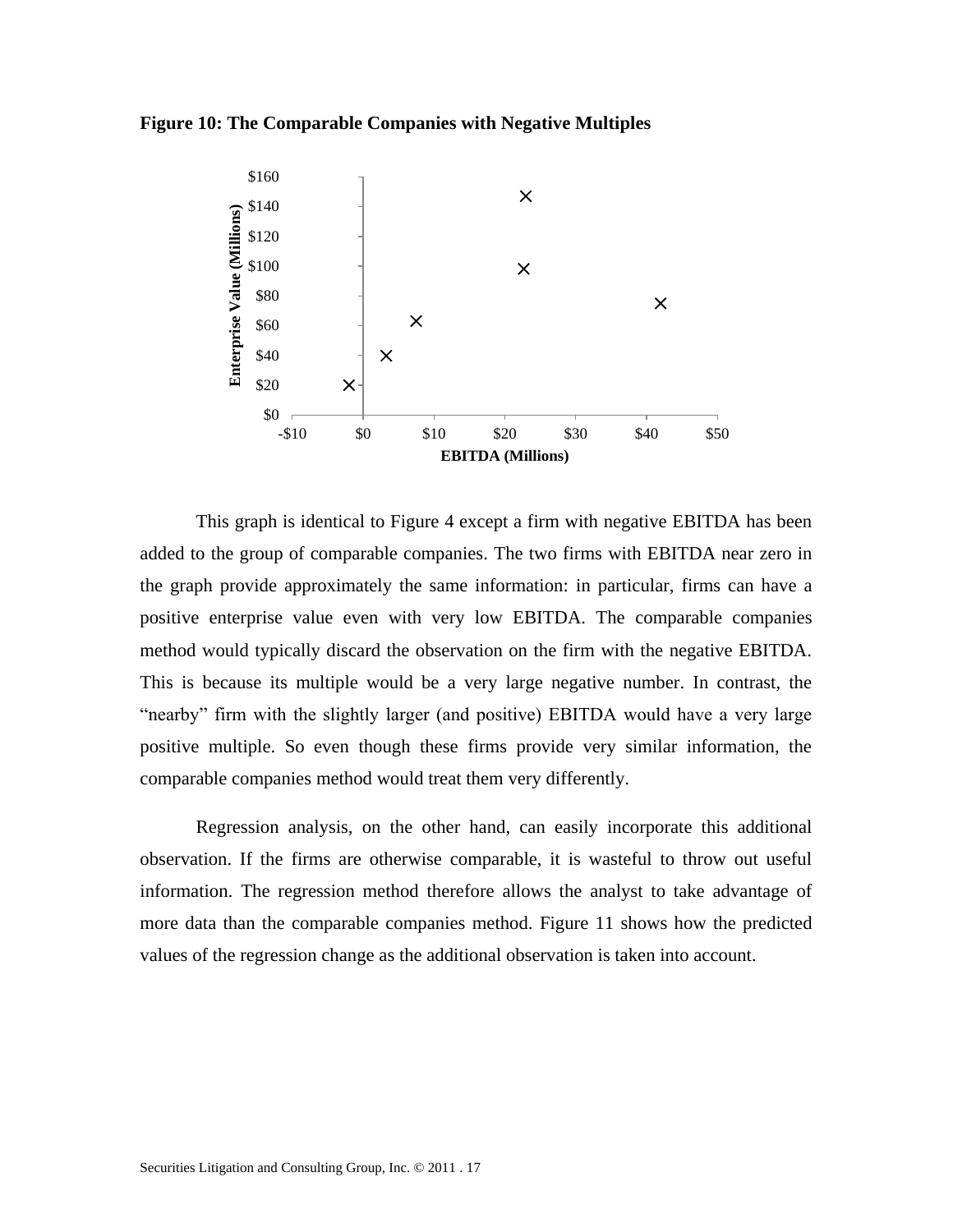## **Figure 10: The Comparable Companies with Negative Multiples**



This graph is identical to Figure 4 except a firm with negative EBITDA has been added to the group of comparable companies. The two firms with EBITDA near zero in the graph provide approximately the same information: in particular, firms can have a positive enterprise value even with very low EBITDA. The comparable companies method would typically discard the observation on the firm with the negative EBITDA. This is because its multiple would be a very large negative number. In contrast, the "nearby" firm with the slightly larger (and positive) EBITDA would have a very large positive multiple. So even though these firms provide very similar information, the comparable companies method would treat them very differently.

Regression analysis, on the other hand, can easily incorporate this additional observation. If the firms are otherwise comparable, it is wasteful to throw out useful information. The regression method therefore allows the analyst to take advantage of more data than the comparable companies method. Figure 11 shows how the predicted values of the regression change as the additional observation is taken into account.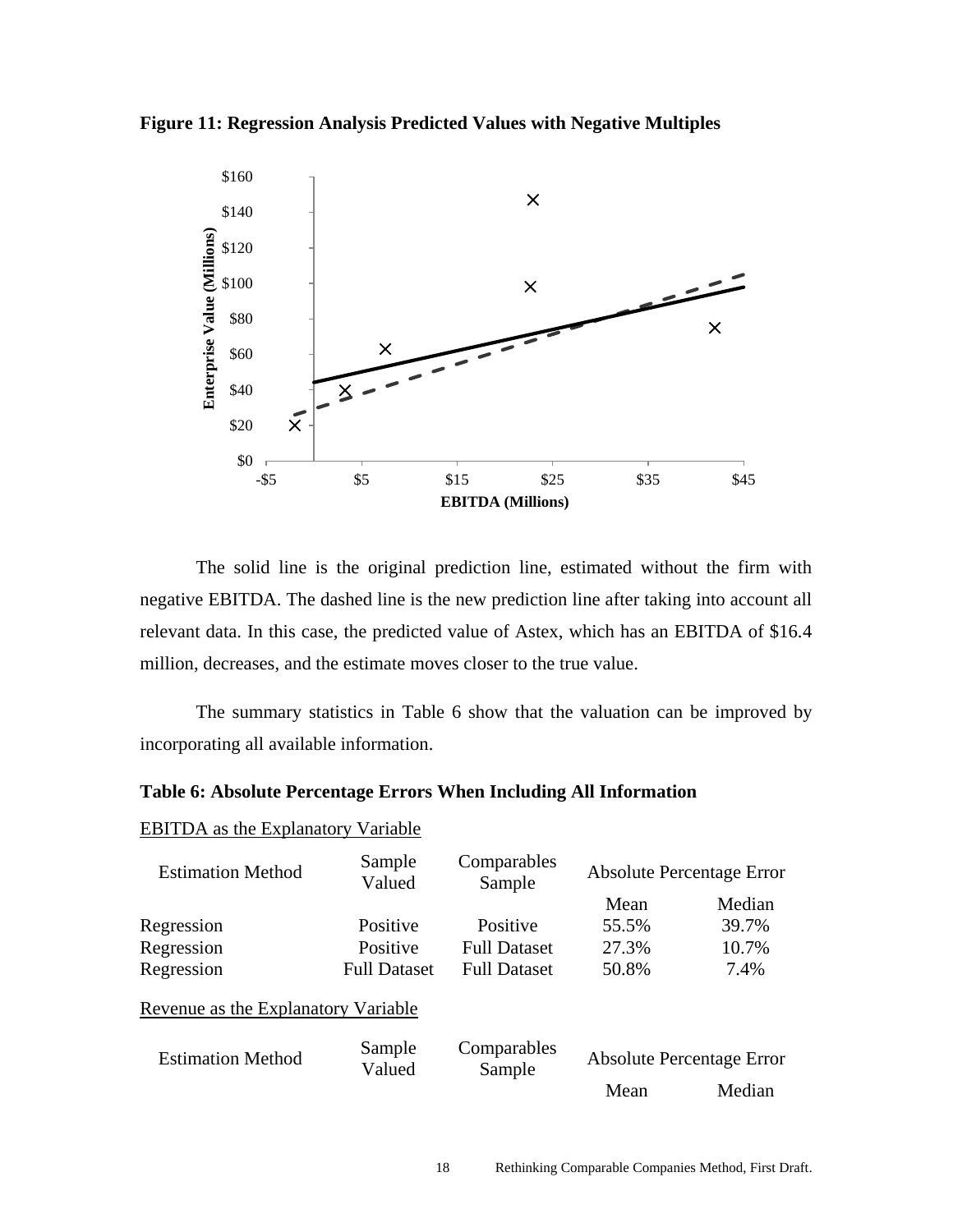**Figure 11: Regression Analysis Predicted Values with Negative Multiples**



The solid line is the original prediction line, estimated without the firm with negative EBITDA. The dashed line is the new prediction line after taking into account all relevant data. In this case, the predicted value of Astex, which has an EBITDA of \$16.4 million, decreases, and the estimate moves closer to the true value.

The summary statistics in Table 6 show that the valuation can be improved by incorporating all available information.

#### **Table 6: Absolute Percentage Errors When Including All Information**

| <b>Estimation Method</b>            | Sample<br>Valued    | Comparables<br>Sample |                                  | <b>Absolute Percentage Error</b> |
|-------------------------------------|---------------------|-----------------------|----------------------------------|----------------------------------|
|                                     |                     |                       | Mean                             | Median                           |
| Regression                          | Positive            | Positive              | 55.5%                            | 39.7%                            |
| Regression                          | Positive            | <b>Full Dataset</b>   | 27.3%                            | 10.7%                            |
| Regression                          | <b>Full Dataset</b> | <b>Full Dataset</b>   | 50.8%                            | 7.4%                             |
| Revenue as the Explanatory Variable |                     |                       |                                  |                                  |
| <b>Estimation Method</b>            | Sample<br>Valued    | Comparables<br>Sample | <b>Absolute Percentage Error</b> |                                  |
|                                     |                     |                       | Mean                             | Median                           |

# EBITDA as the Explanatory Variable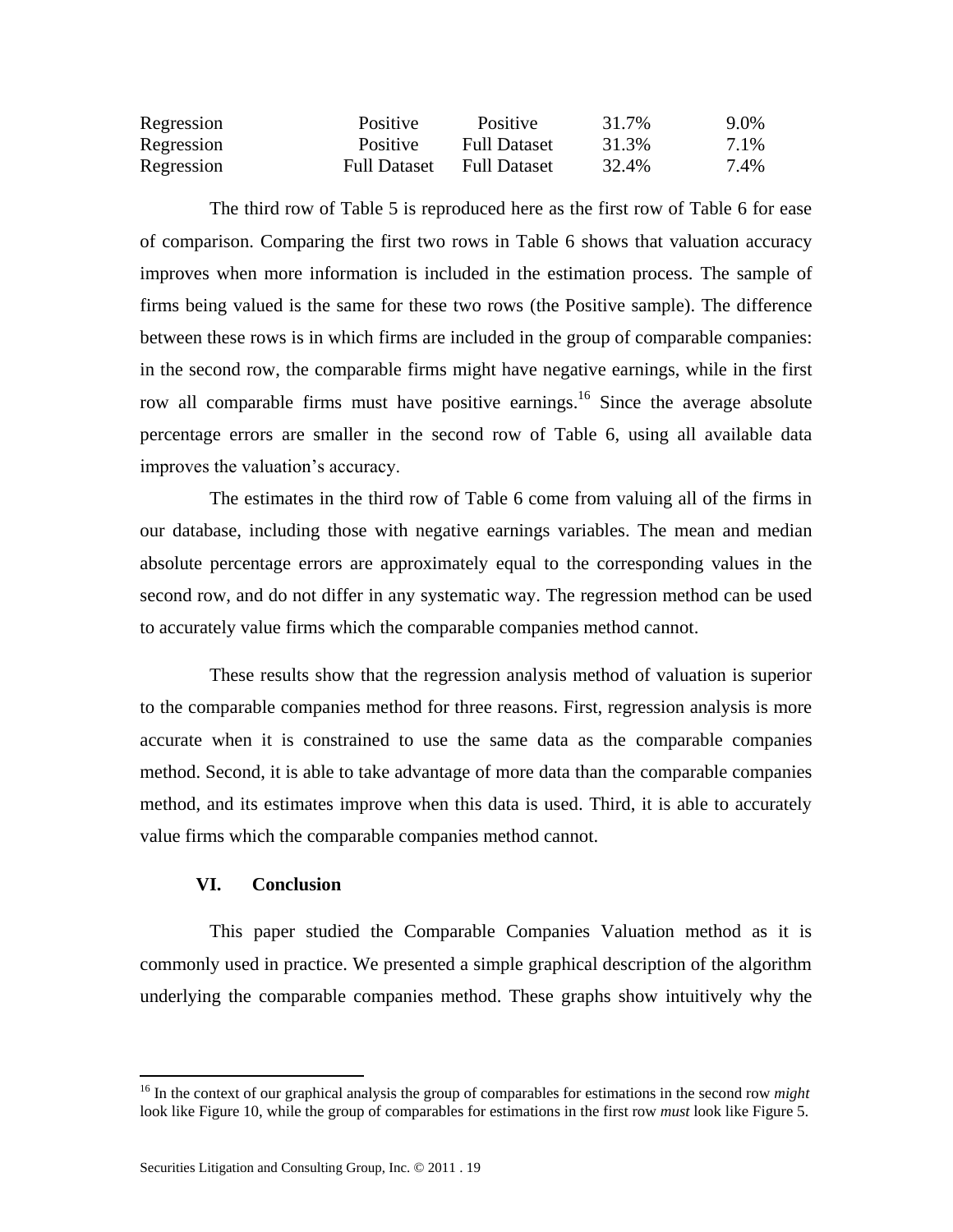| Regression | <b>Positive</b>     | Positive            | 31.7% | 9.0% |
|------------|---------------------|---------------------|-------|------|
| Regression | <b>Positive</b>     | <b>Full Dataset</b> | 31.3% | 7.1% |
| Regression | <b>Full Dataset</b> | <b>Full Dataset</b> | 32.4% | 7.4% |

The third row of Table 5 is reproduced here as the first row of Table 6 for ease of comparison. Comparing the first two rows in Table 6 shows that valuation accuracy improves when more information is included in the estimation process. The sample of firms being valued is the same for these two rows (the Positive sample). The difference between these rows is in which firms are included in the group of comparable companies: in the second row, the comparable firms might have negative earnings, while in the first row all comparable firms must have positive earnings.<sup>16</sup> Since the average absolute percentage errors are smaller in the second row of Table 6, using all available data improves the valuation's accuracy.

The estimates in the third row of Table 6 come from valuing all of the firms in our database, including those with negative earnings variables. The mean and median absolute percentage errors are approximately equal to the corresponding values in the second row, and do not differ in any systematic way. The regression method can be used to accurately value firms which the comparable companies method cannot.

These results show that the regression analysis method of valuation is superior to the comparable companies method for three reasons. First, regression analysis is more accurate when it is constrained to use the same data as the comparable companies method. Second, it is able to take advantage of more data than the comparable companies method, and its estimates improve when this data is used. Third, it is able to accurately value firms which the comparable companies method cannot.

#### **VI. Conclusion**

 $\overline{a}$ 

This paper studied the Comparable Companies Valuation method as it is commonly used in practice. We presented a simple graphical description of the algorithm underlying the comparable companies method. These graphs show intuitively why the

<sup>&</sup>lt;sup>16</sup> In the context of our graphical analysis the group of comparables for estimations in the second row *might* look like Figure 10, while the group of comparables for estimations in the first row *must* look like Figure 5.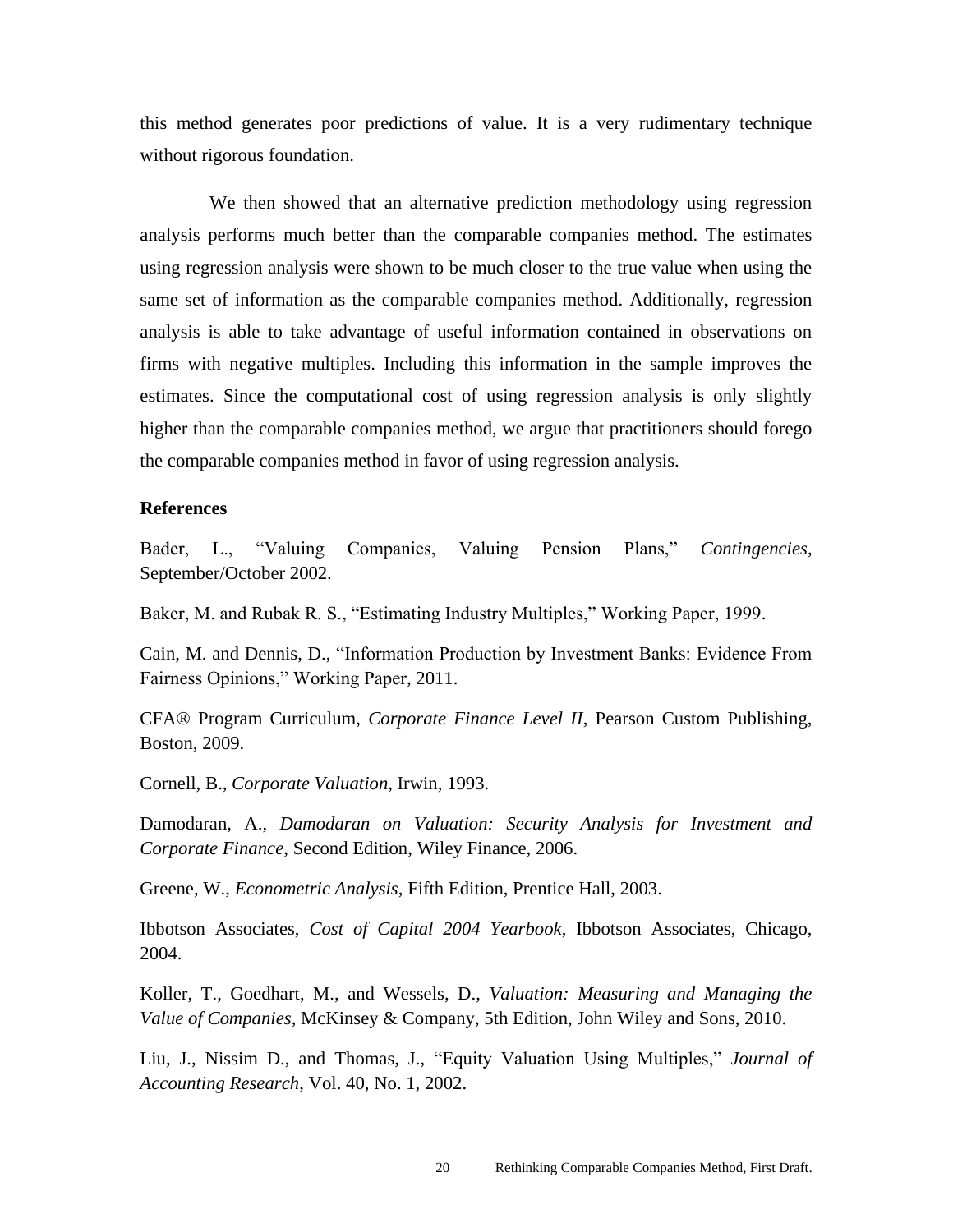this method generates poor predictions of value. It is a very rudimentary technique without rigorous foundation.

We then showed that an alternative prediction methodology using regression analysis performs much better than the comparable companies method. The estimates using regression analysis were shown to be much closer to the true value when using the same set of information as the comparable companies method. Additionally, regression analysis is able to take advantage of useful information contained in observations on firms with negative multiples. Including this information in the sample improves the estimates. Since the computational cost of using regression analysis is only slightly higher than the comparable companies method, we argue that practitioners should forego the comparable companies method in favor of using regression analysis.

#### **References**

Bader, L., "Valuing Companies, Valuing Pension Plans," *Contingencies,* September/October 2002.

Baker, M. and Rubak R. S., "Estimating Industry Multiples," Working Paper, 1999.

Cain, M. and Dennis, D., "Information Production by Investment Banks: Evidence From Fairness Opinions," Working Paper, 2011.

CFA® Program Curriculum, *Corporate Finance Level II*, Pearson Custom Publishing, Boston, 2009.

Cornell, B., *Corporate Valuation*, Irwin, 1993.

Damodaran, A., *Damodaran on Valuation: Security Analysis for Investment and Corporate Finance*, Second Edition, Wiley Finance, 2006.

Greene, W., *Econometric Analysis*, Fifth Edition, Prentice Hall, 2003.

Ibbotson Associates, *Cost of Capital 2004 Yearbook*, Ibbotson Associates, Chicago, 2004.

Koller, T., Goedhart, M., and Wessels, D., *Valuation: Measuring and Managing the Value of Companies*, McKinsey & Company, 5th Edition, John Wiley and Sons, 2010.

Liu, J., Nissim D., and Thomas, J., "Equity Valuation Using Multiples," *Journal of Accounting Research*, Vol. 40, No. 1, 2002.